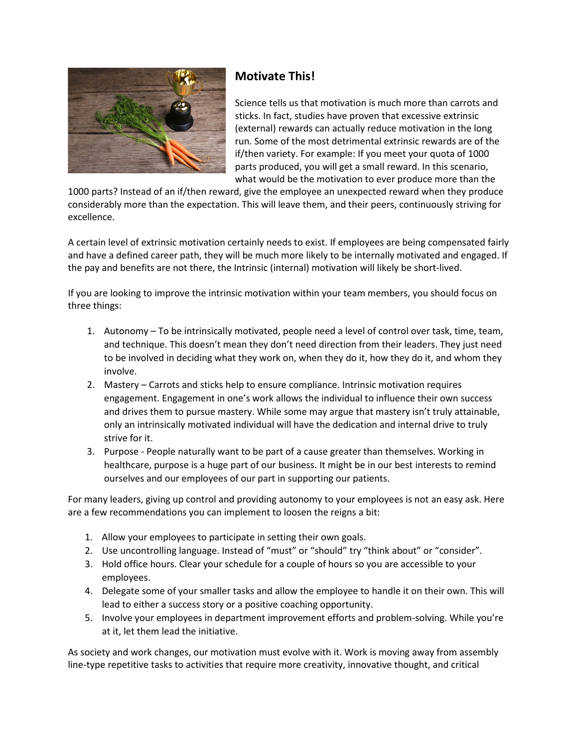

## **Motivate This!**

Science tells us that motivation is much more than carrots and sticks. In fact, studies have proven that excessive extrinsic (external) rewards can actually reduce motivation in the long run. Some of the most detrimental extrinsic rewards are of the if/then variety. For example: If you meet your quota of 1000 parts produced, you will get a small reward. In this scenario, what would be the motivation to ever produce more than the

1000 parts? Instead of an if/then reward, give the employee an unexpected reward when they produce considerably more than the expectation. This will leave them, and their peers, continuously striving for excellence.

A certain level of extrinsic motivation certainly needs to exist. If employees are being compensated fairly and have a defined career path, they will be much more likely to be internally motivated and engaged. If the pay and benefits are not there, the Intrinsic (internal) motivation will likely be short-lived.

If you are looking to improve the intrinsic motivation within your team members, you should focus on three things:

- 1. Autonomy To be intrinsically motivated, people need a level of control over task, time, team, and technique. This doesn't mean they don't need direction from their leaders. They just need to be involved in deciding what they work on, when they do it, how they do it, and whom they involve.
- 2. Mastery Carrots and sticks help to ensure compliance. Intrinsic motivation requires engagement. Engagement in one's work allows the individual to influence their own success and drives them to pursue mastery. While some may argue that mastery isn't truly attainable, only an intrinsically motivated individual will have the dedication and internal drive to truly strive for it.
- 3. Purpose People naturally want to be part of a cause greater than themselves. Working in healthcare, purpose is a huge part of our business. It might be in our best interests to remind ourselves and our employees of our part in supporting our patients.

For many leaders, giving up control and providing autonomy to your employees is not an easy ask. Here are a few recommendations you can implement to loosen the reigns a bit:

- 1. Allow your employees to participate in setting their own goals.
- 2. Use uncontrolling language. Instead of "must" or "should" try "think about" or "consider".
- 3. Hold office hours. Clear your schedule for a couple of hours so you are accessible to your employees.
- 4. Delegate some of your smaller tasks and allow the employee to handle it on their own. This will lead to either a success story or a positive coaching opportunity.
- 5. Involve your employees in department improvement efforts and problem-solving. While you're at it, let them lead the initiative.

As society and work changes, our motivation must evolve with it. Work is moving away from assembly line-type repetitive tasks to activities that require more creativity, innovative thought, and critical